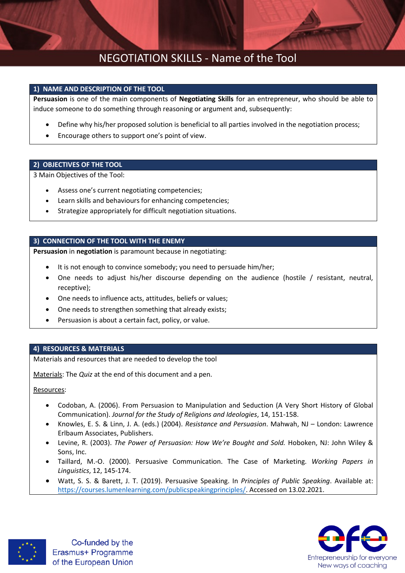### NEGOTIATION SKILLS - Name of the Tool

### **1) NAME AND DESCRIPTION OF THE TOOL**

**Persuasion** is one of the main components of **Negotiating Skills** for an entrepreneur, who should be able to induce someone to do something through reasoning or argument and, subsequently:

- Define why his/her proposed solution is beneficial to all parties involved in the negotiation process;
- Encourage others to support one's point of view.

### **2) OBJECTIVES OF THE TOOL**

3 Main Objectives of the Tool:

- Assess one's current negotiating competencies;
- Learn skills and behaviours for enhancing competencies;
- Strategize appropriately for difficult negotiation situations.

### **3) CONNECTION OF THE TOOL WITH THE ENEMY**

**Persuasion** in **negotiation** is paramount because in negotiating:

- It is not enough to convince somebody; you need to persuade him/her;
- One needs to adjust his/her discourse depending on the audience (hostile / resistant, neutral, receptive);
- One needs to influence acts, attitudes, beliefs or values;
- One needs to strengthen something that already exists;
- Persuasion is about a certain fact, policy, or value.

#### **4) RESOURCES & MATERIALS**

Materials and resources that are needed to develop the tool

Materials: The *Quiz* at the end of this document and a pen.

Resources:

- Codoban, A. (2006). From Persuasion to Manipulation and Seduction (A Very Short History of Global Communication). *Journal for the Study of Religions and Ideologies*, 14, 151-158.
- Knowles, E. S. & Linn, J. A. (eds.) (2004). *Resistance and Persuasion*. Mahwah, NJ London: Lawrence Erlbaum Associates, Publishers.
- Levine, R. (2003). *The Power of Persuasion: How We're Bought and Sold.* Hoboken, NJ: John Wiley & Sons, Inc.
- Taillard, M.-O. (2000). Persuasive Communication. The Case of Marketing. *Working Papers in Linguistics*, 12, 145-174.
- Watt, S. S. & Barett, J. T. (2019). Persuasive Speaking. In *Principles of Public Speaking*. Available at: [https://courses.lumenlearning.com/publicspeakingprinciples/.](https://courses.lumenlearning.com/publicspeakingprinciples/) Accessed on 13.02.2021.





Co-funded by the Erasmus+ Programme of the European Union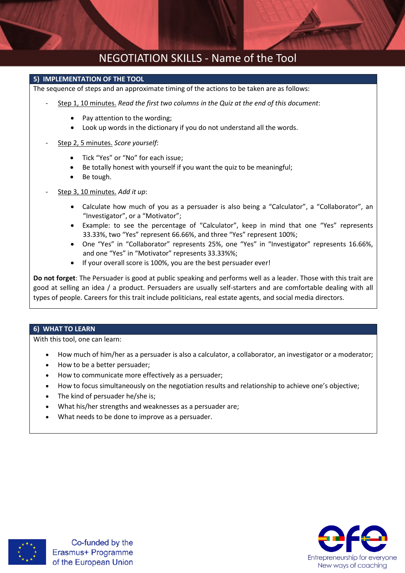## NEGOTIATION SKILLS - Name of the Tool

### **5) IMPLEMENTATION OF THE TOOL**

The sequence of steps and an approximate timing of the actions to be taken are as follows:

- Step 1, 10 minutes. *Read the first two columns in the Quiz at the end of this document*:
	- Pay attention to the wording:
	- Look up words in the dictionary if you do not understand all the words.
- Step 2, 5 minutes. *Score yourself*:
	- Tick "Yes" or "No" for each issue;
	- Be totally honest with yourself if you want the quiz to be meaningful;
	- Be tough.
- Step 3, 10 minutes. *Add it up*:
	- Calculate how much of you as a persuader is also being a "Calculator", a "Collaborator", an "Investigator", or a "Motivator";
	- Example: to see the percentage of "Calculator", keep in mind that one "Yes" represents 33.33%, two "Yes" represent 66.66%, and three "Yes" represent 100%;
	- One "Yes" in "Collaborator" represents 25%, one "Yes" in "Investigator" represents 16.66%, and one "Yes" in "Motivator" represents 33.33%%;
	- If your overall score is 100%, you are the best persuader ever!

**Do not forget**: The Persuader is good at public speaking and performs well as a leader. Those with this trait are good at selling an idea / a product. Persuaders are usually self-starters and are comfortable dealing with all types of people. Careers for this trait include politicians, real estate agents, and social media directors.

#### **6) WHAT TO LEARN**

With this tool, one can learn:

- How much of him/her as a persuader is also a calculator, a collaborator, an investigator or a moderator;
- How to be a better persuader;
- How to communicate more effectively as a persuader;
- How to focus simultaneously on the negotiation results and relationship to achieve one's objective;
- The kind of persuader he/she is;
- What his/her strengths and weaknesses as a persuader are;
- What needs to be done to improve as a persuader.



Co-funded by the Erasmus+ Programme of the European Union